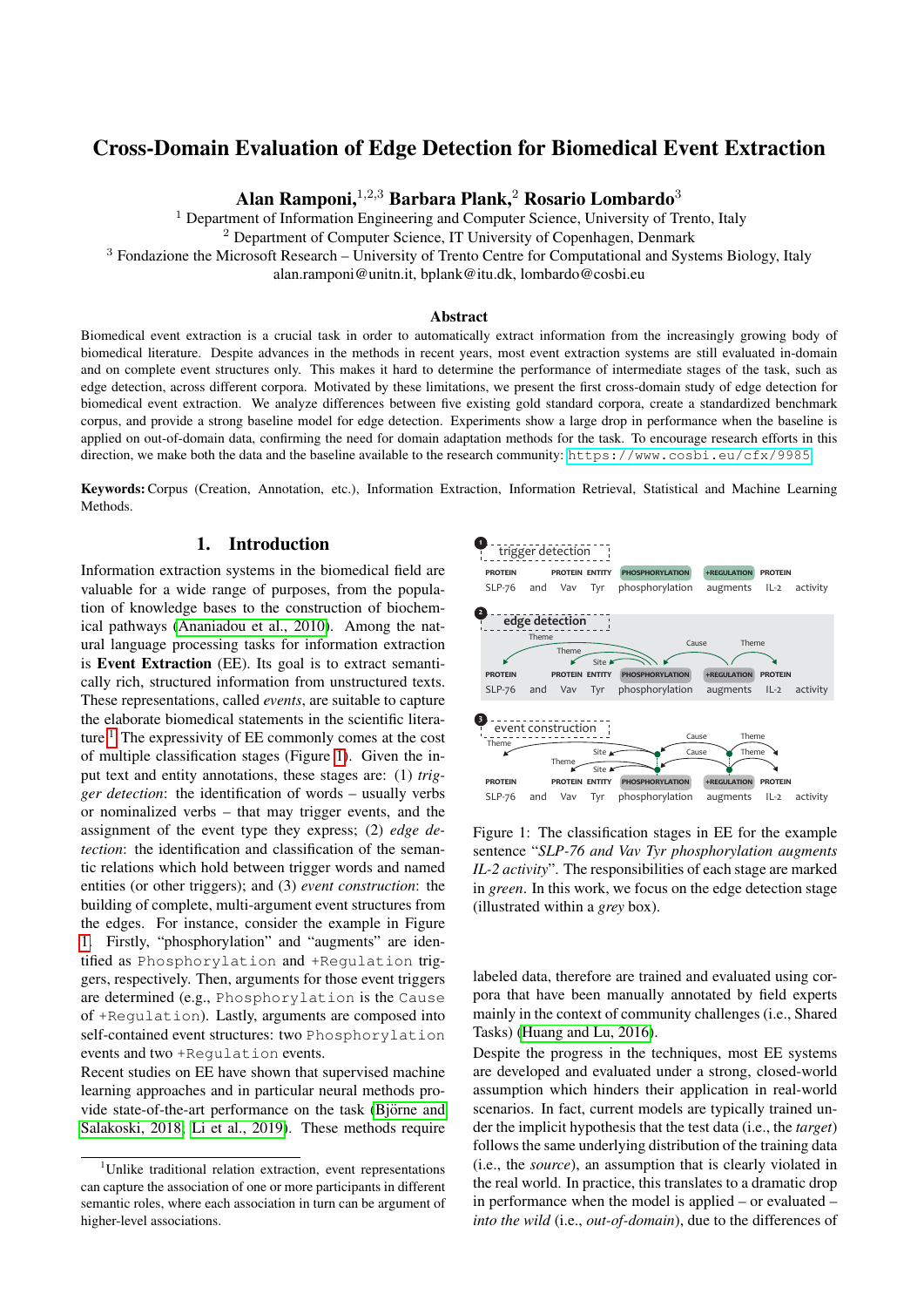# Cross-Domain Evaluation of Edge Detection for Biomedical Event Extraction

Alan Ramponi,  $1,2,3$  Barbara Plank,  $2$  Rosario Lombardo<sup>3</sup>

 $<sup>1</sup>$  Department of Information Engineering and Computer Science, University of Trento, Italy</sup>

<sup>2</sup> Department of Computer Science, IT University of Copenhagen, Denmark

<sup>3</sup> Fondazione the Microsoft Research – University of Trento Centre for Computational and Systems Biology, Italy

alan.ramponi@unitn.it, bplank@itu.dk, lombardo@cosbi.eu

#### Abstract

Biomedical event extraction is a crucial task in order to automatically extract information from the increasingly growing body of biomedical literature. Despite advances in the methods in recent years, most event extraction systems are still evaluated in-domain and on complete event structures only. This makes it hard to determine the performance of intermediate stages of the task, such as edge detection, across different corpora. Motivated by these limitations, we present the first cross-domain study of edge detection for biomedical event extraction. We analyze differences between five existing gold standard corpora, create a standardized benchmark corpus, and provide a strong baseline model for edge detection. Experiments show a large drop in performance when the baseline is applied on out-of-domain data, confirming the need for domain adaptation methods for the task. To encourage research efforts in this direction, we make both the data and the baseline available to the research community: <https://www.cosbi.eu/cfx/9985>.

Keywords:Corpus (Creation, Annotation, etc.), Information Extraction, Information Retrieval, Statistical and Machine Learning Methods.

### 1. Introduction

Information extraction systems in the biomedical field are valuable for a wide range of purposes, from the population of knowledge bases to the construction of biochemical pathways [\(Ananiadou et al., 2010\)](#page-6-0). Among the natural language processing tasks for information extraction is Event Extraction (EE). Its goal is to extract semantically rich, structured information from unstructured texts. These representations, called *events*, are suitable to capture the elaborate biomedical statements in the scientific literature.[1](#page-0-0) The expressivity of EE commonly comes at the cost of multiple classification stages (Figure [1\)](#page-0-1). Given the input text and entity annotations, these stages are: (1) *trigger detection*: the identification of words – usually verbs or nominalized verbs – that may trigger events, and the assignment of the event type they express; (2) *edge detection*: the identification and classification of the semantic relations which hold between trigger words and named entities (or other triggers); and (3) *event construction*: the building of complete, multi-argument event structures from the edges. For instance, consider the example in Figure [1.](#page-0-1) Firstly, "phosphorylation" and "augments" are identified as Phosphorylation and +Regulation triggers, respectively. Then, arguments for those event triggers are determined (e.g., Phosphorylation is the Cause of +Regulation). Lastly, arguments are composed into self-contained event structures: two Phosphorylation events and two +Regulation events.

Recent studies on EE have shown that supervised machine learning approaches and in particular neural methods provide state-of-the-art performance on the task (Björne and [Salakoski, 2018;](#page-7-0) [Li et al., 2019\)](#page-7-1). These methods require



<span id="page-0-1"></span>Figure 1: The classification stages in EE for the example sentence "*SLP-76 and Vav Tyr phosphorylation augments IL-2 activity*". The responsibilities of each stage are marked in *green*. In this work, we focus on the edge detection stage (illustrated within a *grey* box).

labeled data, therefore are trained and evaluated using corpora that have been manually annotated by field experts mainly in the context of community challenges (i.e., Shared Tasks) [\(Huang and Lu, 2016\)](#page-7-2).

Despite the progress in the techniques, most EE systems are developed and evaluated under a strong, closed-world assumption which hinders their application in real-world scenarios. In fact, current models are typically trained under the implicit hypothesis that the test data (i.e., the *target*) follows the same underlying distribution of the training data (i.e., the *source*), an assumption that is clearly violated in the real world. In practice, this translates to a dramatic drop in performance when the model is applied – or evaluated – *into the wild* (i.e., *out-of-domain*), due to the differences of

<span id="page-0-0"></span><sup>&</sup>lt;sup>1</sup>Unlike traditional relation extraction, event representations can capture the association of one or more participants in different semantic roles, where each association in turn can be argument of higher-level associations.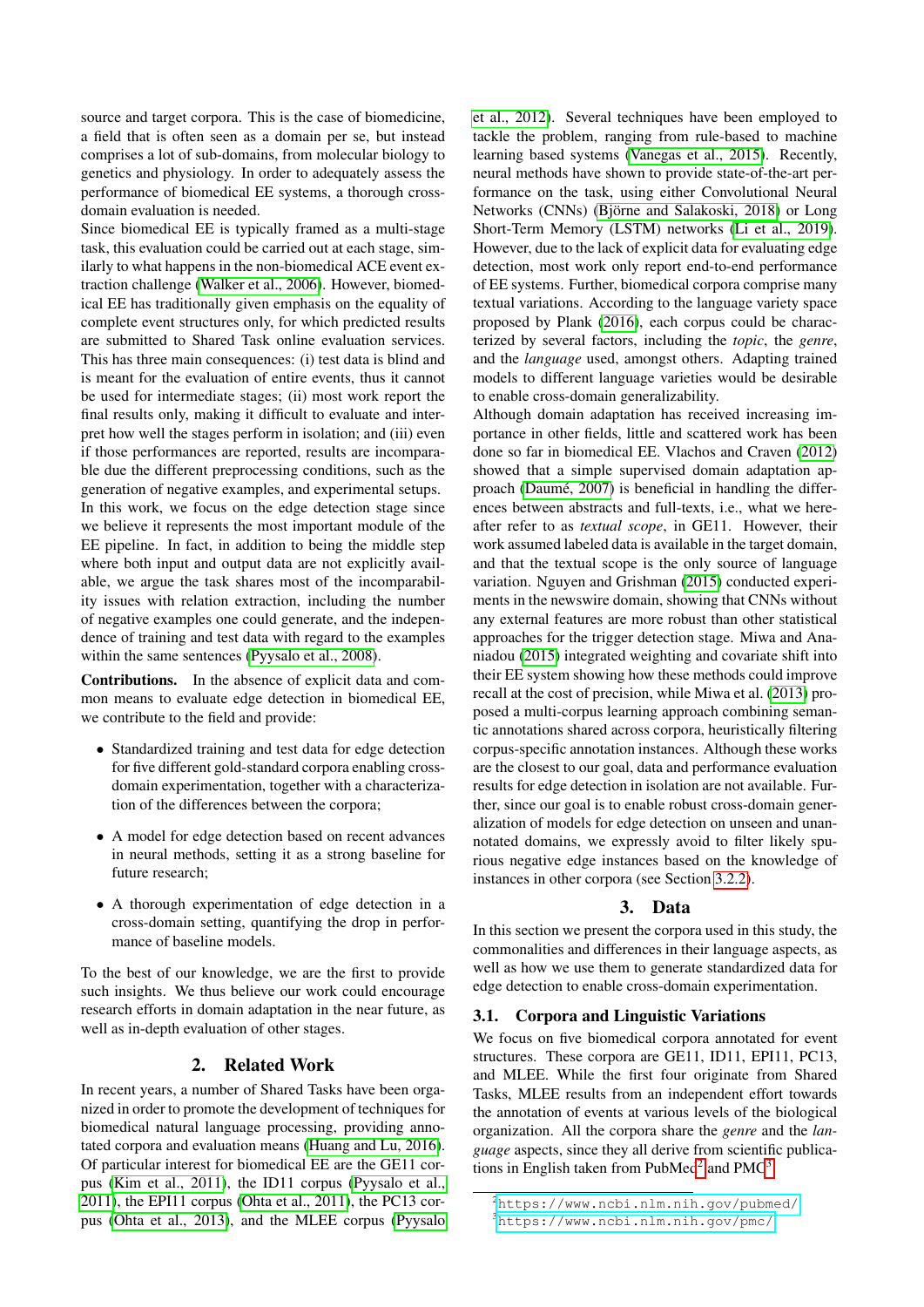source and target corpora. This is the case of biomedicine, a field that is often seen as a domain per se, but instead comprises a lot of sub-domains, from molecular biology to genetics and physiology. In order to adequately assess the performance of biomedical EE systems, a thorough crossdomain evaluation is needed.

Since biomedical EE is typically framed as a multi-stage task, this evaluation could be carried out at each stage, similarly to what happens in the non-biomedical ACE event extraction challenge [\(Walker et al., 2006\)](#page-7-3). However, biomedical EE has traditionally given emphasis on the equality of complete event structures only, for which predicted results are submitted to Shared Task online evaluation services. This has three main consequences: (i) test data is blind and is meant for the evaluation of entire events, thus it cannot be used for intermediate stages; (ii) most work report the final results only, making it difficult to evaluate and interpret how well the stages perform in isolation; and (iii) even if those performances are reported, results are incomparable due the different preprocessing conditions, such as the generation of negative examples, and experimental setups. In this work, we focus on the edge detection stage since we believe it represents the most important module of the EE pipeline. In fact, in addition to being the middle step where both input and output data are not explicitly available, we argue the task shares most of the incomparability issues with relation extraction, including the number of negative examples one could generate, and the independence of training and test data with regard to the examples within the same sentences [\(Pyysalo et al., 2008\)](#page-7-4).

Contributions. In the absence of explicit data and common means to evaluate edge detection in biomedical EE, we contribute to the field and provide:

- Standardized training and test data for edge detection for five different gold-standard corpora enabling crossdomain experimentation, together with a characterization of the differences between the corpora;
- A model for edge detection based on recent advances in neural methods, setting it as a strong baseline for future research;
- A thorough experimentation of edge detection in a cross-domain setting, quantifying the drop in performance of baseline models.

To the best of our knowledge, we are the first to provide such insights. We thus believe our work could encourage research efforts in domain adaptation in the near future, as well as in-depth evaluation of other stages.

### 2. Related Work

In recent years, a number of Shared Tasks have been organized in order to promote the development of techniques for biomedical natural language processing, providing annotated corpora and evaluation means [\(Huang and Lu, 2016\)](#page-7-2). Of particular interest for biomedical EE are the GE11 corpus [\(Kim et al., 2011\)](#page-7-5), the ID11 corpus [\(Pyysalo et al.,](#page-7-6) [2011\)](#page-7-6), the EPI11 corpus [\(Ohta et al., 2011\)](#page-7-7), the PC13 corpus [\(Ohta et al., 2013\)](#page-7-8), and the MLEE corpus [\(Pyysalo](#page-7-9) [et al., 2012\)](#page-7-9). Several techniques have been employed to tackle the problem, ranging from rule-based to machine learning based systems [\(Vanegas et al., 2015\)](#page-7-10). Recently, neural methods have shown to provide state-of-the-art performance on the task, using either Convolutional Neural Networks (CNNs) (Björne and Salakoski, 2018) or Long Short-Term Memory (LSTM) networks [\(Li et al., 2019\)](#page-7-1). However, due to the lack of explicit data for evaluating edge detection, most work only report end-to-end performance of EE systems. Further, biomedical corpora comprise many textual variations. According to the language variety space proposed by Plank [\(2016\)](#page-7-11), each corpus could be characterized by several factors, including the *topic*, the *genre*, and the *language* used, amongst others. Adapting trained models to different language varieties would be desirable to enable cross-domain generalizability.

Although domain adaptation has received increasing importance in other fields, little and scattered work has been done so far in biomedical EE. Vlachos and Craven [\(2012\)](#page-7-12) showed that a simple supervised domain adaptation approach (Daumé, 2007) is beneficial in handling the differences between abstracts and full-texts, i.e., what we hereafter refer to as *textual scope*, in GE11. However, their work assumed labeled data is available in the target domain, and that the textual scope is the only source of language variation. Nguyen and Grishman [\(2015\)](#page-7-14) conducted experiments in the newswire domain, showing that CNNs without any external features are more robust than other statistical approaches for the trigger detection stage. Miwa and Ananiadou [\(2015\)](#page-7-15) integrated weighting and covariate shift into their EE system showing how these methods could improve recall at the cost of precision, while Miwa et al. [\(2013\)](#page-7-16) proposed a multi-corpus learning approach combining semantic annotations shared across corpora, heuristically filtering corpus-specific annotation instances. Although these works are the closest to our goal, data and performance evaluation results for edge detection in isolation are not available. Further, since our goal is to enable robust cross-domain generalization of models for edge detection on unseen and unannotated domains, we expressly avoid to filter likely spurious negative edge instances based on the knowledge of instances in other corpora (see Section [3.2.2\)](#page-2-0).

#### 3. Data

In this section we present the corpora used in this study, the commonalities and differences in their language aspects, as well as how we use them to generate standardized data for edge detection to enable cross-domain experimentation.

#### 3.1. Corpora and Linguistic Variations

We focus on five biomedical corpora annotated for event structures. These corpora are GE11, ID11, EPI11, PC13, and MLEE. While the first four originate from Shared Tasks, MLEE results from an independent effort towards the annotation of events at various levels of the biological organization. All the corpora share the *genre* and the *language* aspects, since they all derive from scientific publica-tions in English taken from PubMed<sup>[2](#page-1-0)</sup> and PMC<sup>[3](#page-1-1)</sup>.

<span id="page-1-0"></span><sup>2</sup><https://www.ncbi.nlm.nih.gov/pubmed/>

<span id="page-1-1"></span><sup>3</sup><https://www.ncbi.nlm.nih.gov/pmc/>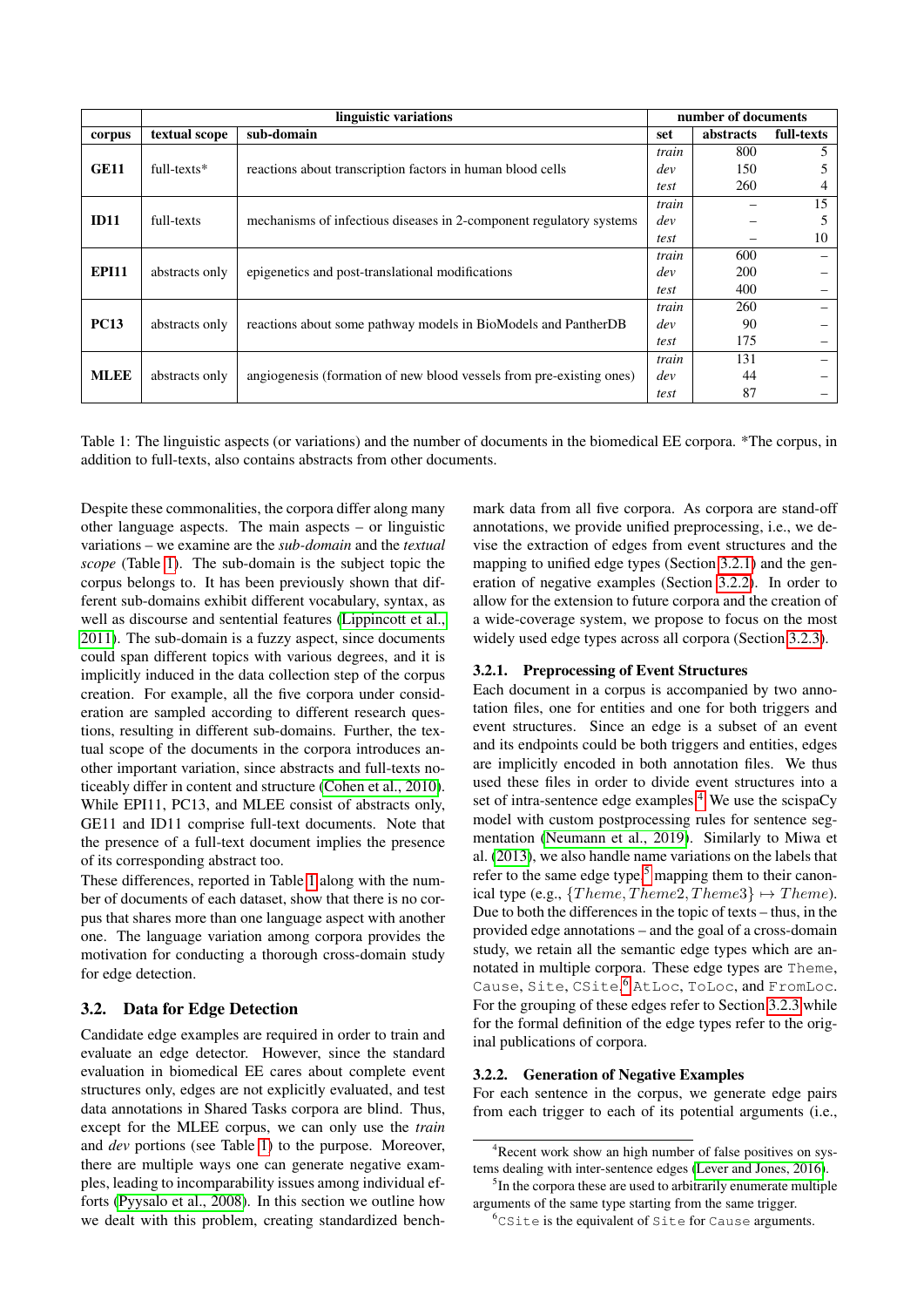|              |                   |                                                                      | number of documents |           |            |  |  |
|--------------|-------------------|----------------------------------------------------------------------|---------------------|-----------|------------|--|--|
| corpus       | textual scope     | sub-domain                                                           | set                 | abstracts | full-texts |  |  |
|              |                   |                                                                      | train               | 800       | 5          |  |  |
| <b>GE11</b>  | $full$ -texts $*$ | reactions about transcription factors in human blood cells           | dev                 | 150       | 5          |  |  |
|              |                   |                                                                      | test                | 260       | 4          |  |  |
|              |                   |                                                                      | train               |           | 15         |  |  |
| ID11         | full-texts        | mechanisms of infectious diseases in 2-component regulatory systems  | dev                 |           | 5          |  |  |
|              |                   |                                                                      | test                |           | 10         |  |  |
| <b>EPI11</b> | abstracts only    |                                                                      |                     | 600       |            |  |  |
|              |                   | epigenetics and post-translational modifications                     | dev                 | 200       |            |  |  |
|              |                   |                                                                      | test                | 400       |            |  |  |
|              |                   | reactions about some pathway models in BioModels and PantherDB       | train               | 260       |            |  |  |
| <b>PC13</b>  | abstracts only    |                                                                      | dev                 | 90        |            |  |  |
|              |                   |                                                                      | test                | 175       |            |  |  |
|              | abstracts only    | angiogenesis (formation of new blood vessels from pre-existing ones) | train               | 131       |            |  |  |
| <b>MLEE</b>  |                   |                                                                      | dev                 | 44        |            |  |  |
|              |                   |                                                                      | test                | 87        |            |  |  |

<span id="page-2-1"></span>Table 1: The linguistic aspects (or variations) and the number of documents in the biomedical EE corpora. \*The corpus, in addition to full-texts, also contains abstracts from other documents.

Despite these commonalities, the corpora differ along many other language aspects. The main aspects – or linguistic variations – we examine are the *sub-domain* and the *textual scope* (Table [1\)](#page-2-1). The sub-domain is the subject topic the corpus belongs to. It has been previously shown that different sub-domains exhibit different vocabulary, syntax, as well as discourse and sentential features [\(Lippincott et al.,](#page-7-17) [2011\)](#page-7-17). The sub-domain is a fuzzy aspect, since documents could span different topics with various degrees, and it is implicitly induced in the data collection step of the corpus creation. For example, all the five corpora under consideration are sampled according to different research questions, resulting in different sub-domains. Further, the textual scope of the documents in the corpora introduces another important variation, since abstracts and full-texts noticeably differ in content and structure [\(Cohen et al., 2010\)](#page-7-18). While EPI11, PC13, and MLEE consist of abstracts only, GE11 and ID11 comprise full-text documents. Note that the presence of a full-text document implies the presence of its corresponding abstract too.

These differences, reported in Table [1](#page-2-1) along with the number of documents of each dataset, show that there is no corpus that shares more than one language aspect with another one. The language variation among corpora provides the motivation for conducting a thorough cross-domain study for edge detection.

### 3.2. Data for Edge Detection

Candidate edge examples are required in order to train and evaluate an edge detector. However, since the standard evaluation in biomedical EE cares about complete event structures only, edges are not explicitly evaluated, and test data annotations in Shared Tasks corpora are blind. Thus, except for the MLEE corpus, we can only use the *train* and *dev* portions (see Table [1\)](#page-2-1) to the purpose. Moreover, there are multiple ways one can generate negative examples, leading to incomparability issues among individual efforts [\(Pyysalo et al., 2008\)](#page-7-4). In this section we outline how we dealt with this problem, creating standardized benchmark data from all five corpora. As corpora are stand-off annotations, we provide unified preprocessing, i.e., we devise the extraction of edges from event structures and the mapping to unified edge types (Section [3.2.1\)](#page-2-2) and the generation of negative examples (Section [3.2.2\)](#page-2-0). In order to allow for the extension to future corpora and the creation of a wide-coverage system, we propose to focus on the most widely used edge types across all corpora (Section [3.2.3\)](#page-3-0).

### <span id="page-2-2"></span>3.2.1. Preprocessing of Event Structures

Each document in a corpus is accompanied by two annotation files, one for entities and one for both triggers and event structures. Since an edge is a subset of an event and its endpoints could be both triggers and entities, edges are implicitly encoded in both annotation files. We thus used these files in order to divide event structures into a set of intra-sentence edge examples.<sup>[4](#page-2-3)</sup> We use the scispaCy model with custom postprocessing rules for sentence segmentation [\(Neumann et al., 2019\)](#page-7-19). Similarly to Miwa et al. [\(2013\)](#page-7-16), we also handle name variations on the labels that refer to the same edge type,<sup>[5](#page-2-4)</sup> mapping them to their canonical type (e.g.,  ${Theme, Theme2, Theme3} \rightarrow Theme.$ ). Due to both the differences in the topic of texts – thus, in the provided edge annotations – and the goal of a cross-domain study, we retain all the semantic edge types which are annotated in multiple corpora. These edge types are Theme, Cause, Site, CSite, [6](#page-2-5) AtLoc, ToLoc, and FromLoc. For the grouping of these edges refer to Section [3.2.3](#page-3-0) while for the formal definition of the edge types refer to the original publications of corpora.

#### <span id="page-2-0"></span>3.2.2. Generation of Negative Examples

For each sentence in the corpus, we generate edge pairs from each trigger to each of its potential arguments (i.e.,

<span id="page-2-3"></span><sup>4</sup>Recent work show an high number of false positives on systems dealing with inter-sentence edges [\(Lever and Jones, 2016\)](#page-7-20).

<span id="page-2-4"></span><sup>&</sup>lt;sup>5</sup>In the corpora these are used to arbitrarily enumerate multiple arguments of the same type starting from the same trigger.

<span id="page-2-5"></span> $6C$ Site is the equivalent of Site for Cause arguments.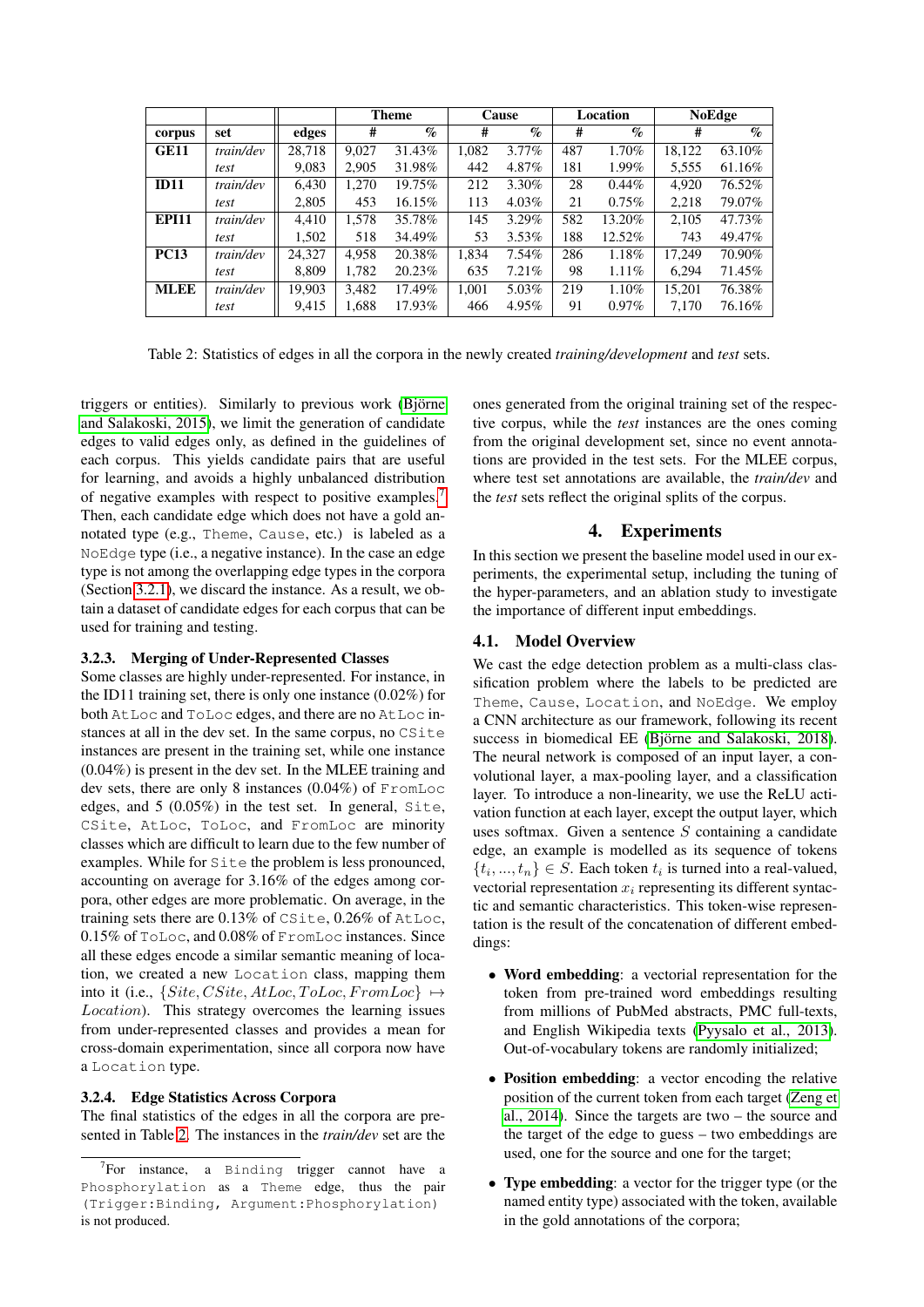|              |           |        |       | <b>Theme</b>    |       | Cause            |     | Location | <b>NoEdge</b> |        |
|--------------|-----------|--------|-------|-----------------|-------|------------------|-----|----------|---------------|--------|
| corpus       | set       | edges  | #     | $\mathcal{O}_0$ | #     | $\mathcal{O}'_0$ | #   | $\%$     | #             | $\%$   |
| <b>GE11</b>  | train/dev | 28.718 | 9.027 | 31.43%          | 1,082 | $3.77\%$         | 487 | 1.70%    | 18,122        | 63.10% |
|              | test      | 9,083  | 2,905 | 31.98%          | 442   | 4.87%            | 181 | $1.99\%$ | 5,555         | 61.16% |
| ID11         | train/dev | 6.430  | 1.270 | 19.75%          | 212   | 3.30%            | 28  | $0.44\%$ | 4.920         | 76.52% |
|              | test      | 2,805  | 453   | $16.15\%$       | 113   | $4.03\%$         | 21  | $0.75\%$ | 2.218         | 79.07% |
| <b>EPI11</b> | train/dev | 4.410  | 1.578 | 35.78%          | 145   | $3.29\%$         | 582 | 13.20%   | 2,105         | 47.73% |
|              | test      | 1,502  | 518   | 34.49%          | 53    | $3.53\%$         | 188 | 12.52%   | 743           | 49.47% |
| <b>PC13</b>  | train/dev | 24.327 | 4.958 | 20.38%          | 1.834 | $7.54\%$         | 286 | 1.18%    | 17.249        | 70.90% |
|              | test      | 8.809  | 1,782 | 20.23%          | 635   | $7.21\%$         | 98  | 1.11%    | 6.294         | 71.45% |
| <b>MLEE</b>  | train/dev | 19.903 | 3.482 | 17.49%          | 1.001 | 5.03%            | 219 | 1.10%    | 15.201        | 76.38% |
|              | test      | 9,415  | 1,688 | 17.93%          | 466   | 4.95%            | 91  | $0.97\%$ | 7,170         | 76.16% |

<span id="page-3-2"></span>Table 2: Statistics of edges in all the corpora in the newly created *training/development* and *test* sets.

triggers or entities). Similarly to previous work (Björne [and Salakoski, 2015\)](#page-6-1), we limit the generation of candidate edges to valid edges only, as defined in the guidelines of each corpus. This yields candidate pairs that are useful for learning, and avoids a highly unbalanced distribution of negative examples with respect to positive examples.[7](#page-3-1) Then, each candidate edge which does not have a gold annotated type (e.g., Theme, Cause, etc.) is labeled as a NoEdge type (i.e., a negative instance). In the case an edge type is not among the overlapping edge types in the corpora (Section [3.2.1\)](#page-2-2), we discard the instance. As a result, we obtain a dataset of candidate edges for each corpus that can be used for training and testing.

## <span id="page-3-0"></span>3.2.3. Merging of Under-Represented Classes

Some classes are highly under-represented. For instance, in the ID11 training set, there is only one instance (0.02%) for both AtLoc and ToLoc edges, and there are no AtLoc instances at all in the dev set. In the same corpus, no CSite instances are present in the training set, while one instance (0.04%) is present in the dev set. In the MLEE training and dev sets, there are only 8 instances (0.04%) of FromLoc edges, and 5 (0.05%) in the test set. In general, Site, CSite, AtLoc, ToLoc, and FromLoc are minority classes which are difficult to learn due to the few number of examples. While for Site the problem is less pronounced, accounting on average for 3.16% of the edges among corpora, other edges are more problematic. On average, in the training sets there are 0.13% of CSite, 0.26% of AtLoc, 0.15% of ToLoc, and 0.08% of FromLoc instances. Since all these edges encode a similar semantic meaning of location, we created a new Location class, mapping them into it (i.e.,  ${Site, CSite, AtLoc, ToLoc, FromLoc} \rightarrow$ Location). This strategy overcomes the learning issues from under-represented classes and provides a mean for cross-domain experimentation, since all corpora now have a Location type.

### 3.2.4. Edge Statistics Across Corpora

The final statistics of the edges in all the corpora are presented in Table [2.](#page-3-2) The instances in the *train/dev* set are the ones generated from the original training set of the respective corpus, while the *test* instances are the ones coming from the original development set, since no event annotations are provided in the test sets. For the MLEE corpus, where test set annotations are available, the *train/dev* and the *test* sets reflect the original splits of the corpus.

### 4. Experiments

In this section we present the baseline model used in our experiments, the experimental setup, including the tuning of the hyper-parameters, and an ablation study to investigate the importance of different input embeddings.

### 4.1. Model Overview

We cast the edge detection problem as a multi-class classification problem where the labels to be predicted are Theme, Cause, Location, and NoEdge. We employ a CNN architecture as our framework, following its recent success in biomedical EE (Björne and Salakoski, 2018). The neural network is composed of an input layer, a convolutional layer, a max-pooling layer, and a classification layer. To introduce a non-linearity, we use the ReLU activation function at each layer, except the output layer, which uses softmax. Given a sentence  $S$  containing a candidate edge, an example is modelled as its sequence of tokens  $\{t_i, ..., t_n\} \in S$ . Each token  $t_i$  is turned into a real-valued, vectorial representation  $x_i$  representing its different syntactic and semantic characteristics. This token-wise representation is the result of the concatenation of different embeddings:

- Word embedding: a vectorial representation for the token from pre-trained word embeddings resulting from millions of PubMed abstracts, PMC full-texts, and English Wikipedia texts [\(Pyysalo et al., 2013\)](#page-7-21). Out-of-vocabulary tokens are randomly initialized;
- Position embedding: a vector encoding the relative position of the current token from each target [\(Zeng et](#page-7-22) [al., 2014\)](#page-7-22). Since the targets are two – the source and the target of the edge to guess – two embeddings are used, one for the source and one for the target;
- Type embedding: a vector for the trigger type (or the named entity type) associated with the token, available in the gold annotations of the corpora;

<span id="page-3-1"></span> $7$ For instance, a Binding trigger cannot have a Phosphorylation as a Theme edge, thus the pair (Trigger:Binding, Argument:Phosphorylation) is not produced.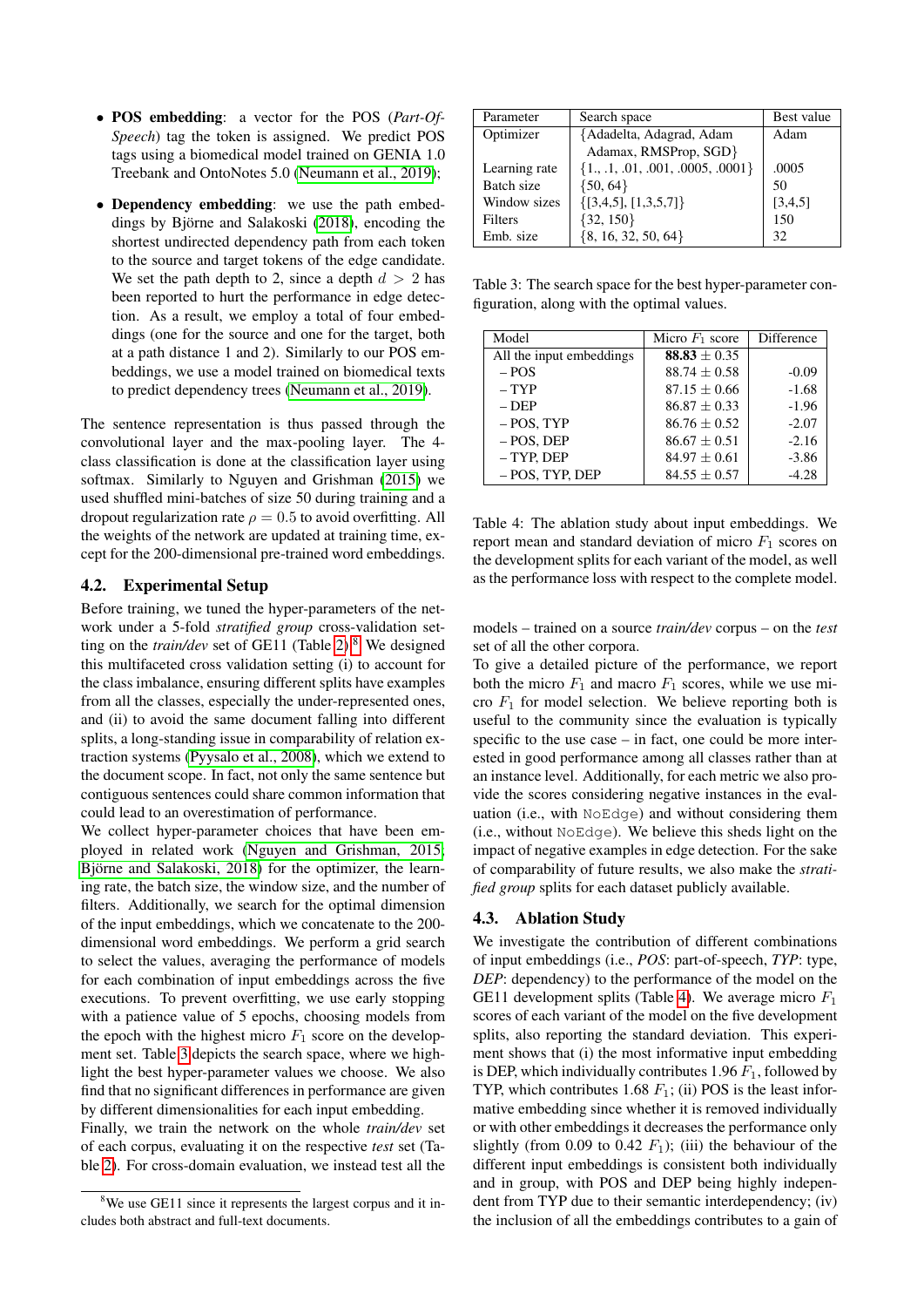- POS embedding: a vector for the POS (*Part-Of-Speech*) tag the token is assigned. We predict POS tags using a biomedical model trained on GENIA 1.0 Treebank and OntoNotes 5.0 [\(Neumann et al., 2019\)](#page-7-19);
- Dependency embedding: we use the path embed-dings by Björne and Salakoski [\(2018\)](#page-7-0), encoding the shortest undirected dependency path from each token to the source and target tokens of the edge candidate. We set the path depth to 2, since a depth  $d > 2$  has been reported to hurt the performance in edge detection. As a result, we employ a total of four embeddings (one for the source and one for the target, both at a path distance 1 and 2). Similarly to our POS embeddings, we use a model trained on biomedical texts to predict dependency trees [\(Neumann et al., 2019\)](#page-7-19).

The sentence representation is thus passed through the convolutional layer and the max-pooling layer. The 4 class classification is done at the classification layer using softmax. Similarly to Nguyen and Grishman [\(2015\)](#page-7-14) we used shuffled mini-batches of size 50 during training and a dropout regularization rate  $\rho = 0.5$  to avoid overfitting. All the weights of the network are updated at training time, except for the 200-dimensional pre-trained word embeddings.

### 4.2. Experimental Setup

Before training, we tuned the hyper-parameters of the network under a 5-fold *stratified group* cross-validation setting on the *train/dev* set of GE11 (Table [2\)](#page-3-2).<sup>[8](#page-4-0)</sup> We designed this multifaceted cross validation setting (i) to account for the class imbalance, ensuring different splits have examples from all the classes, especially the under-represented ones, and (ii) to avoid the same document falling into different splits, a long-standing issue in comparability of relation extraction systems [\(Pyysalo et al., 2008\)](#page-7-4), which we extend to the document scope. In fact, not only the same sentence but contiguous sentences could share common information that could lead to an overestimation of performance.

We collect hyper-parameter choices that have been employed in related work [\(Nguyen and Grishman, 2015;](#page-7-14) Björne and Salakoski, 2018) for the optimizer, the learning rate, the batch size, the window size, and the number of filters. Additionally, we search for the optimal dimension of the input embeddings, which we concatenate to the 200 dimensional word embeddings. We perform a grid search to select the values, averaging the performance of models for each combination of input embeddings across the five executions. To prevent overfitting, we use early stopping with a patience value of 5 epochs, choosing models from the epoch with the highest micro  $F_1$  score on the development set. Table [3](#page-4-1) depicts the search space, where we highlight the best hyper-parameter values we choose. We also find that no significant differences in performance are given by different dimensionalities for each input embedding.

Finally, we train the network on the whole *train/dev* set of each corpus, evaluating it on the respective *test* set (Table [2\)](#page-3-2). For cross-domain evaluation, we instead test all the

| Parameter     | Search space                          | Best value |
|---------------|---------------------------------------|------------|
| Optimizer     | {Adadelta, Adagrad, Adam              | Adam       |
|               | Adamax, RMSProp, SGD}                 |            |
| Learning rate | $\{1., .1, .01, .001, .0005, .0001\}$ | .0005      |
| Batch size    | $\{50, 64\}$                          | 50         |
| Window sizes  | $\{[3,4,5], [1,3,5,7]\}$              | [3,4,5]    |
| Filters       | $\{32, 150\}$                         | 150        |
| Emb. size     | ${8, 16, 32, 50, 64}$                 | 32         |

<span id="page-4-1"></span>Table 3: The search space for the best hyper-parameter configuration, along with the optimal values.

| Model                    | Micro $F_1$ score | Difference |
|--------------------------|-------------------|------------|
| All the input embeddings | $88.83 \pm 0.35$  |            |
| $-$ POS                  | $88.74 \pm 0.58$  | $-0.09$    |
| $-$ TYP                  | $87.15 \pm 0.66$  | $-1.68$    |
| $-$ DEP                  | $86.87 + 0.33$    | $-1.96$    |
| $-$ POS, TYP             | $86.76 \pm 0.52$  | $-2.07$    |
| $-$ POS. DEP             | $86.67 \pm 0.51$  | $-2.16$    |
| $-$ TYP, DEP             | $84.97 \pm 0.61$  | $-3.86$    |
| - POS, TYP, DEP          | $84.55 \pm 0.57$  | $-4.28$    |

<span id="page-4-2"></span>Table 4: The ablation study about input embeddings. We report mean and standard deviation of micro  $F_1$  scores on the development splits for each variant of the model, as well as the performance loss with respect to the complete model.

models – trained on a source *train/dev* corpus – on the *test* set of all the other corpora.

To give a detailed picture of the performance, we report both the micro  $F_1$  and macro  $F_1$  scores, while we use micro  $F_1$  for model selection. We believe reporting both is useful to the community since the evaluation is typically specific to the use case – in fact, one could be more interested in good performance among all classes rather than at an instance level. Additionally, for each metric we also provide the scores considering negative instances in the evaluation (i.e., with NoEdge) and without considering them (i.e., without NoEdge). We believe this sheds light on the impact of negative examples in edge detection. For the sake of comparability of future results, we also make the *stratified group* splits for each dataset publicly available.

#### 4.3. Ablation Study

We investigate the contribution of different combinations of input embeddings (i.e., *POS*: part-of-speech, *TYP*: type, *DEP*: dependency) to the performance of the model on the GE11 development splits (Table [4\)](#page-4-2). We average micro  $F_1$ scores of each variant of the model on the five development splits, also reporting the standard deviation. This experiment shows that (i) the most informative input embedding is DEP, which individually contributes 1.96  $F_1$ , followed by TYP, which contributes 1.68  $F_1$ ; (ii) POS is the least informative embedding since whether it is removed individually or with other embeddings it decreases the performance only slightly (from 0.09 to 0.42  $F_1$ ); (iii) the behaviour of the different input embeddings is consistent both individually and in group, with POS and DEP being highly independent from TYP due to their semantic interdependency; (iv) the inclusion of all the embeddings contributes to a gain of

<span id="page-4-0"></span><sup>&</sup>lt;sup>8</sup>We use GE11 since it represents the largest corpus and it includes both abstract and full-text documents.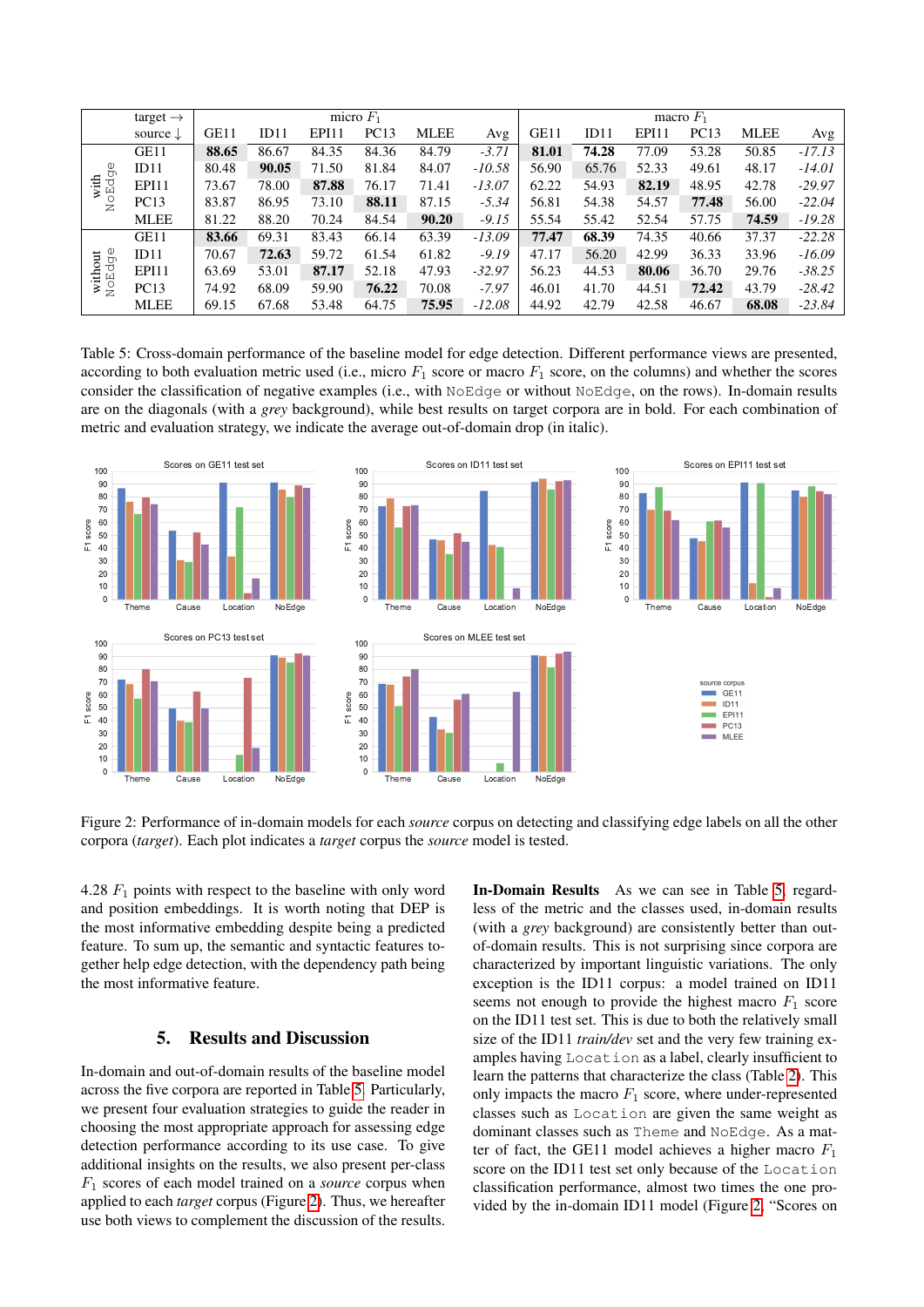|                     | target $\rightarrow$ |       | micro $F_1$ |       |             |             |          |       | macro $F_1$ |       |       |             |          |  |
|---------------------|----------------------|-------|-------------|-------|-------------|-------------|----------|-------|-------------|-------|-------|-------------|----------|--|
|                     | source $\downarrow$  | GE11  | ID11        | EPI11 | <b>PC13</b> | <b>MLEE</b> | Avg      | GE11  | ID11        | EPI11 | PC13  | <b>MLEE</b> | Avg      |  |
| O<br>NoEdge<br>with | GE11                 | 88.65 | 86.67       | 84.35 | 84.36       | 84.79       | $-3.71$  | 81.01 | 74.28       | 77.09 | 53.28 | 50.85       | $-17.13$ |  |
|                     | ID11                 | 80.48 | 90.05       | 71.50 | 81.84       | 84.07       | $-10.58$ | 56.90 | 65.76       | 52.33 | 49.61 | 48.17       | $-14.01$ |  |
|                     | EPI11                | 73.67 | 78.00       | 87.88 | 76.17       | 71.41       | $-13.07$ | 62.22 | 54.93       | 82.19 | 48.95 | 42.78       | $-29.97$ |  |
|                     | <b>PC13</b>          | 83.87 | 86.95       | 73.10 | 88.11       | 87.15       | $-5.34$  | 56.81 | 54.38       | 54.57 | 77.48 | 56.00       | $-22.04$ |  |
|                     | <b>MLEE</b>          | 81.22 | 88.20       | 70.24 | 84.54       | 90.20       | $-9.15$  | 55.54 | 55.42       | 52.54 | 57.75 | 74.59       | $-19.28$ |  |
| without<br>NoEdge   | GE11                 | 83.66 | 69.31       | 83.43 | 66.14       | 63.39       | $-13.09$ | 77.47 | 68.39       | 74.35 | 40.66 | 37.37       | $-22.28$ |  |
|                     | ID11                 | 70.67 | 72.63       | 59.72 | 61.54       | 61.82       | $-9.19$  | 47.17 | 56.20       | 42.99 | 36.33 | 33.96       | $-16.09$ |  |
|                     | EPI11                | 63.69 | 53.01       | 87.17 | 52.18       | 47.93       | $-32.97$ | 56.23 | 44.53       | 80.06 | 36.70 | 29.76       | $-38.25$ |  |
|                     | <b>PC13</b>          | 74.92 | 68.09       | 59.90 | 76.22       | 70.08       | $-7.97$  | 46.01 | 41.70       | 44.51 | 72.42 | 43.79       | $-28.42$ |  |
|                     | <b>MLEE</b>          | 69.15 | 67.68       | 53.48 | 64.75       | 75.95       | $-12.08$ | 44.92 | 42.79       | 42.58 | 46.67 | 68.08       | $-23.84$ |  |

<span id="page-5-0"></span>Table 5: Cross-domain performance of the baseline model for edge detection. Different performance views are presented, according to both evaluation metric used (i.e., micro  $F_1$  score or macro  $F_1$  score, on the columns) and whether the scores consider the classification of negative examples (i.e., with NoEdge or without NoEdge, on the rows). In-domain results are on the diagonals (with a *grey* background), while best results on target corpora are in bold. For each combination of metric and evaluation strategy, we indicate the average out-of-domain drop (in italic).



<span id="page-5-1"></span>Figure 2: Performance of in-domain models for each *source* corpus on detecting and classifying edge labels on all the other corpora (*target*). Each plot indicates a *target* corpus the *source* model is tested.

4.28  $F_1$  points with respect to the baseline with only word and position embeddings. It is worth noting that DEP is the most informative embedding despite being a predicted feature. To sum up, the semantic and syntactic features together help edge detection, with the dependency path being the most informative feature.

### 5. Results and Discussion

In-domain and out-of-domain results of the baseline model across the five corpora are reported in Table [5.](#page-5-0) Particularly, we present four evaluation strategies to guide the reader in choosing the most appropriate approach for assessing edge detection performance according to its use case. To give additional insights on the results, we also present per-class F<sup>1</sup> scores of each model trained on a *source* corpus when applied to each *target* corpus (Figure [2\)](#page-5-1). Thus, we hereafter use both views to complement the discussion of the results.

In-Domain Results As we can see in Table [5,](#page-5-0) regardless of the metric and the classes used, in-domain results (with a *grey* background) are consistently better than outof-domain results. This is not surprising since corpora are characterized by important linguistic variations. The only exception is the ID11 corpus: a model trained on ID11 seems not enough to provide the highest macro  $F_1$  score on the ID11 test set. This is due to both the relatively small size of the ID11 *train/dev* set and the very few training examples having Location as a label, clearly insufficient to learn the patterns that characterize the class (Table [2\)](#page-3-2). This only impacts the macro  $F_1$  score, where under-represented classes such as Location are given the same weight as dominant classes such as Theme and NoEdge. As a matter of fact, the GE11 model achieves a higher macro  $F_1$ score on the ID11 test set only because of the Location classification performance, almost two times the one provided by the in-domain ID11 model (Figure [2,](#page-5-1) "Scores on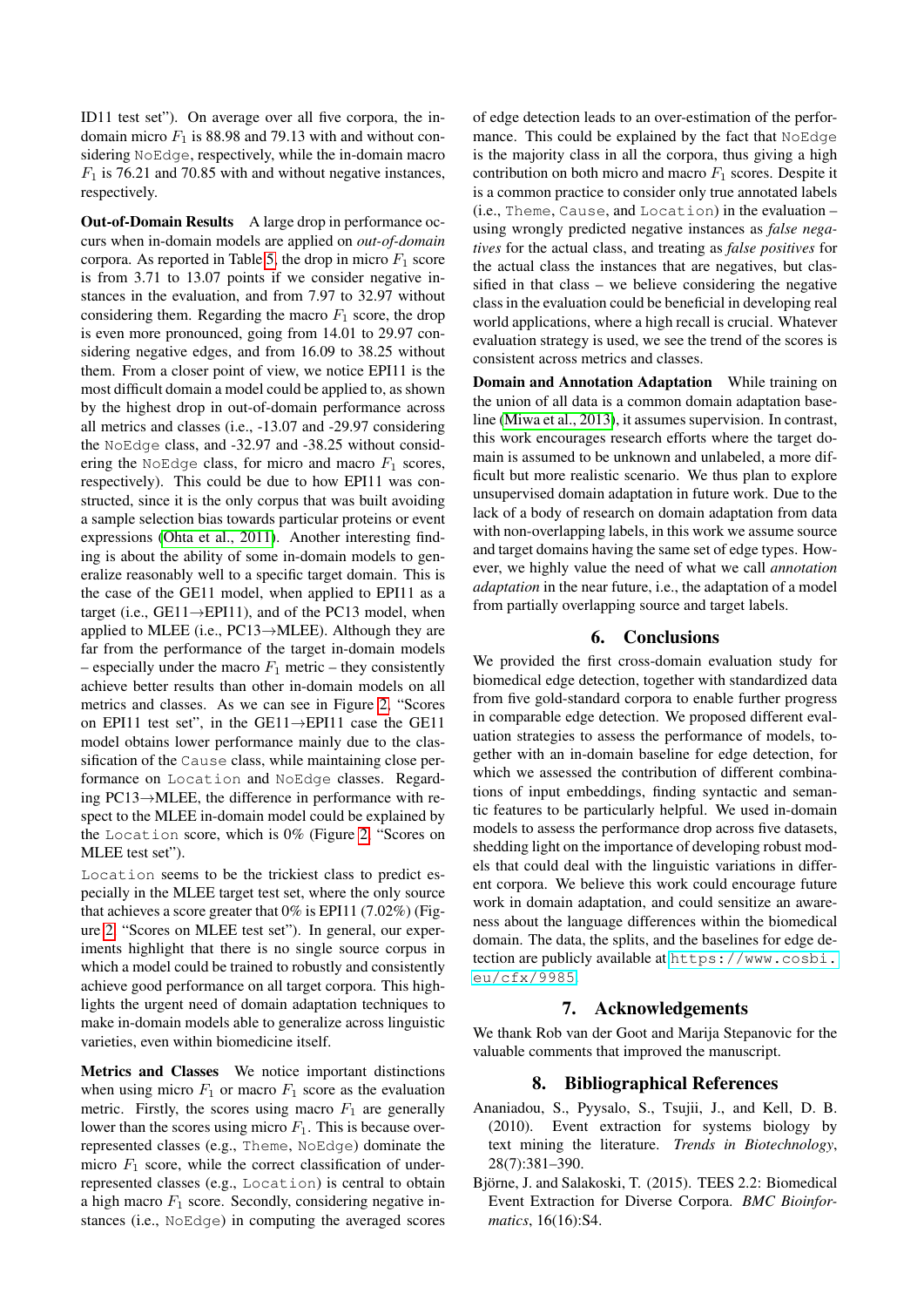ID11 test set"). On average over all five corpora, the indomain micro  $F_1$  is 88.98 and 79.13 with and without considering NoEdge, respectively, while the in-domain macro  $F_1$  is 76.21 and 70.85 with and without negative instances, respectively.

Out-of-Domain Results A large drop in performance occurs when in-domain models are applied on *out-of-domain* corpora. As reported in Table [5,](#page-5-0) the drop in micro  $F_1$  score is from 3.71 to 13.07 points if we consider negative instances in the evaluation, and from 7.97 to 32.97 without considering them. Regarding the macro  $F_1$  score, the drop is even more pronounced, going from 14.01 to 29.97 considering negative edges, and from 16.09 to 38.25 without them. From a closer point of view, we notice EPI11 is the most difficult domain a model could be applied to, as shown by the highest drop in out-of-domain performance across all metrics and classes (i.e., -13.07 and -29.97 considering the NoEdge class, and -32.97 and -38.25 without considering the NoEdge class, for micro and macro  $F_1$  scores, respectively). This could be due to how EPI11 was constructed, since it is the only corpus that was built avoiding a sample selection bias towards particular proteins or event expressions [\(Ohta et al., 2011\)](#page-7-7). Another interesting finding is about the ability of some in-domain models to generalize reasonably well to a specific target domain. This is the case of the GE11 model, when applied to EPI11 as a target (i.e.,  $GE11 \rightarrow EPI11$ ), and of the PC13 model, when applied to MLEE (i.e.,  $PC13 \rightarrow MLE$ ). Although they are far from the performance of the target in-domain models – especially under the macro  $F_1$  metric – they consistently achieve better results than other in-domain models on all metrics and classes. As we can see in Figure [2,](#page-5-1) "Scores on EPI11 test set", in the GE11→EPI11 case the GE11 model obtains lower performance mainly due to the classification of the Cause class, while maintaining close performance on Location and NoEdge classes. Regarding PC13→MLEE, the difference in performance with respect to the MLEE in-domain model could be explained by the Location score, which is 0% (Figure [2,](#page-5-1) "Scores on MLEE test set").

Location seems to be the trickiest class to predict especially in the MLEE target test set, where the only source that achieves a score greater that 0% is EPI11 (7.02%) (Figure [2,](#page-5-1) "Scores on MLEE test set"). In general, our experiments highlight that there is no single source corpus in which a model could be trained to robustly and consistently achieve good performance on all target corpora. This highlights the urgent need of domain adaptation techniques to make in-domain models able to generalize across linguistic varieties, even within biomedicine itself.

Metrics and Classes We notice important distinctions when using micro  $F_1$  or macro  $F_1$  score as the evaluation metric. Firstly, the scores using macro  $F_1$  are generally lower than the scores using micro  $F_1$ . This is because overrepresented classes (e.g., Theme, NoEdge) dominate the micro  $F_1$  score, while the correct classification of underrepresented classes (e.g., Location) is central to obtain a high macro  $F_1$  score. Secondly, considering negative instances (i.e., NoEdge) in computing the averaged scores

of edge detection leads to an over-estimation of the performance. This could be explained by the fact that NoEdge is the majority class in all the corpora, thus giving a high contribution on both micro and macro  $F_1$  scores. Despite it is a common practice to consider only true annotated labels (i.e., Theme, Cause, and Location) in the evaluation – using wrongly predicted negative instances as *false negatives* for the actual class, and treating as *false positives* for the actual class the instances that are negatives, but classified in that class – we believe considering the negative class in the evaluation could be beneficial in developing real world applications, where a high recall is crucial. Whatever evaluation strategy is used, we see the trend of the scores is consistent across metrics and classes.

Domain and Annotation Adaptation While training on the union of all data is a common domain adaptation baseline [\(Miwa et al., 2013\)](#page-7-16), it assumes supervision. In contrast, this work encourages research efforts where the target domain is assumed to be unknown and unlabeled, a more difficult but more realistic scenario. We thus plan to explore unsupervised domain adaptation in future work. Due to the lack of a body of research on domain adaptation from data with non-overlapping labels, in this work we assume source and target domains having the same set of edge types. However, we highly value the need of what we call *annotation adaptation* in the near future, i.e., the adaptation of a model from partially overlapping source and target labels.

### 6. Conclusions

We provided the first cross-domain evaluation study for biomedical edge detection, together with standardized data from five gold-standard corpora to enable further progress in comparable edge detection. We proposed different evaluation strategies to assess the performance of models, together with an in-domain baseline for edge detection, for which we assessed the contribution of different combinations of input embeddings, finding syntactic and semantic features to be particularly helpful. We used in-domain models to assess the performance drop across five datasets, shedding light on the importance of developing robust models that could deal with the linguistic variations in different corpora. We believe this work could encourage future work in domain adaptation, and could sensitize an awareness about the language differences within the biomedical domain. The data, the splits, and the baselines for edge detection are publicly available at [https://www.cosbi.](https://www.cosbi.eu/cfx/9985) [eu/cfx/9985](https://www.cosbi.eu/cfx/9985).

### 7. Acknowledgements

We thank Rob van der Goot and Marija Stepanovic for the valuable comments that improved the manuscript.

### 8. Bibliographical References

- <span id="page-6-0"></span>Ananiadou, S., Pyysalo, S., Tsujii, J., and Kell, D. B. (2010). Event extraction for systems biology by text mining the literature. *Trends in Biotechnology*, 28(7):381–390.
- <span id="page-6-1"></span>Björne, J. and Salakoski, T. (2015). TEES 2.2: Biomedical Event Extraction for Diverse Corpora. *BMC Bioinformatics*, 16(16):S4.